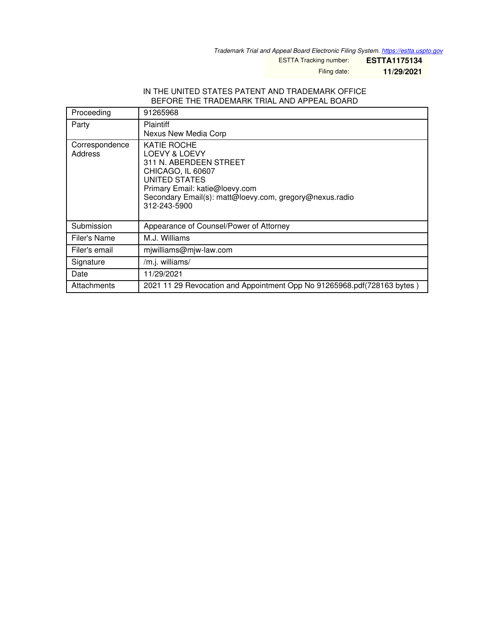*Trademark Trial and Appeal Board Electronic Filing System. <https://estta.uspto.gov>*

ESTTA Tracking number: **ESTTA1175134**

Filing date: **11/29/2021**

## IN THE UNITED STATES PATENT AND TRADEMARK OFFICE BEFORE THE TRADEMARK TRIAL AND APPEAL BOARD

| Proceeding                | 91265968                                                                                                                                                                                                  |
|---------------------------|-----------------------------------------------------------------------------------------------------------------------------------------------------------------------------------------------------------|
| Party                     | <b>Plaintiff</b><br>Nexus New Media Corp                                                                                                                                                                  |
| Correspondence<br>Address | KATIE ROCHE<br>LOEVY & LOEVY<br>311 N. ABERDEEN STREET<br>CHICAGO, IL 60607<br>UNITED STATES<br>Primary Email: katie@loevy.com<br>Secondary Email(s): matt@loevy.com, gregory@nexus.radio<br>312-243-5900 |
| Submission                | Appearance of Counsel/Power of Attorney                                                                                                                                                                   |
| Filer's Name              | M.J. Williams                                                                                                                                                                                             |
| Filer's email             | mjwilliams@mjw-law.com                                                                                                                                                                                    |
| Signature                 | /m.j. williams/                                                                                                                                                                                           |
| Date                      | 11/29/2021                                                                                                                                                                                                |
| Attachments               | 2021 11 29 Revocation and Appointment Opp No 91265968.pdf (728163 bytes)                                                                                                                                  |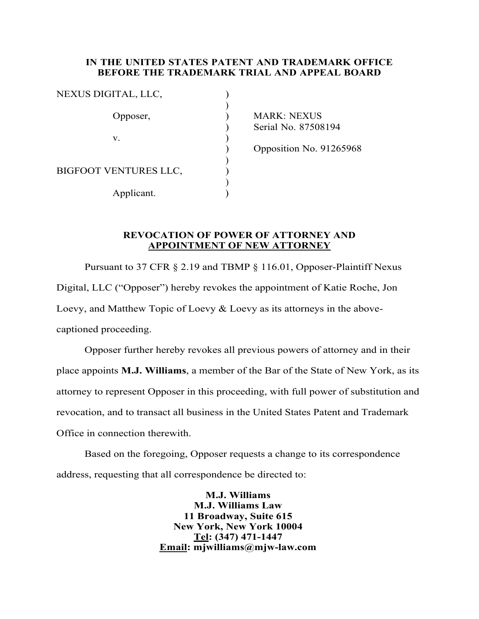## **IN THE UNITED STATES PATENT AND TRADEMARK OFFICE BEFORE THE TRADEMARK TRIAL AND APPEAL BOARD**

MARK: NEXUS ) Serial No. 87508194

) Opposition No. 91265968

## **REVOCATION OF POWER OF ATTORNEY AND APPOINTMENT OF NEW ATTORNEY**

Pursuant to 37 CFR § 2.19 and TBMP § 116.01, Opposer-Plaintiff Nexus Digital, LLC ("Opposer") hereby revokes the appointment of Katie Roche, Jon Loevy, and Matthew Topic of Loevy & Loevy as its attorneys in the abovecaptioned proceeding.

Opposer further hereby revokes all previous powers of attorney and in their place appoints **M.J. Williams**, a member of the Bar of the State of New York, as its attorney to represent Opposer in this proceeding, with full power of substitution and revocation, and to transact all business in the United States Patent and Trademark Office in connection therewith.

Based on the foregoing, Opposer requests a change to its correspondence address, requesting that all correspondence be directed to:

> **M.J. Williams M.J. Williams Law 11 Broadway, Suite 615 New York, New York 10004 Tel: (347) 471-1447 Email: mjwilliams@mjw-law.com**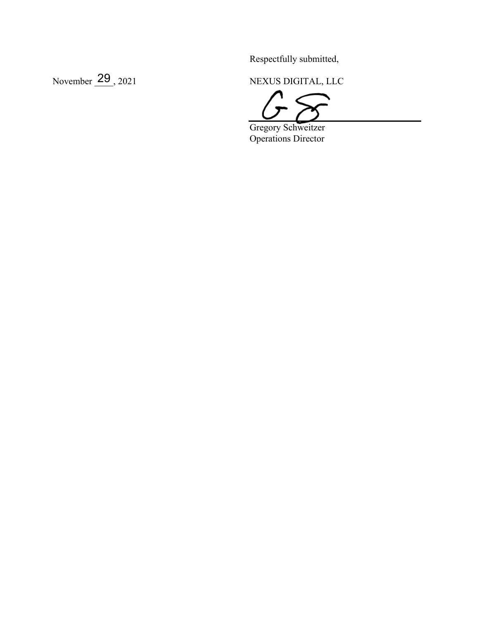Respectfully submitted,

November 29, 2021

NEXUS DIGITAL, LLC

Gregory Schweitzer Operations Director